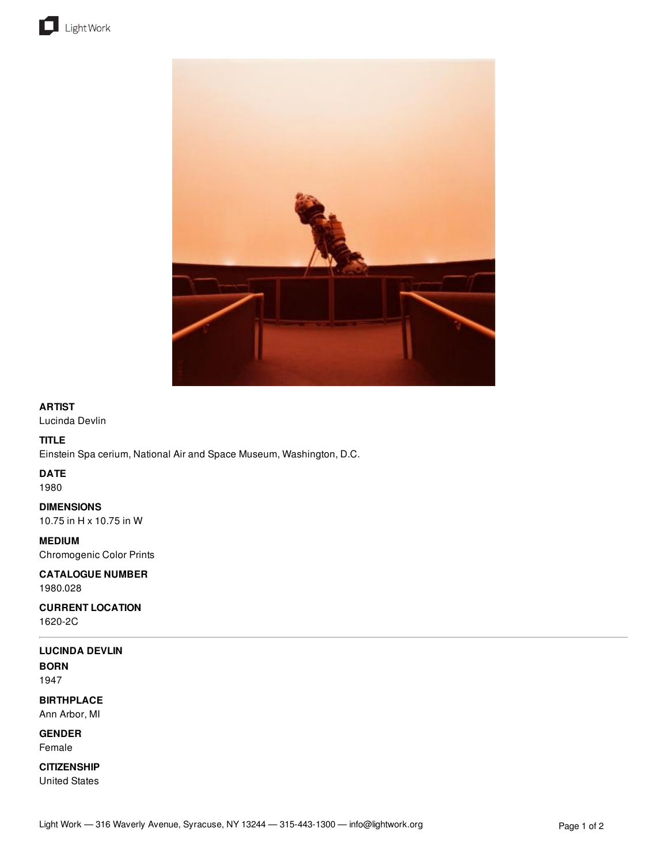



### **ARTIST**

Lucinda Devlin

# **TITLE**

Einstein Spa cerium, National Air and Space Museum, Washington, D.C.

# **DATE**

1980

**DIMENSIONS** 10.75 in H x 10.75 in W

**MEDIUM** Chromogenic Color Prints

**CATALOGUE NUMBER** 1980.028

**CURRENT LOCATION** 1620-2C

# **LUCINDA DEVLIN**

**BORN** 1947

**BIRTHPLACE** Ann Arbor, MI

**GENDER** Female

**CITIZENSHIP** United States